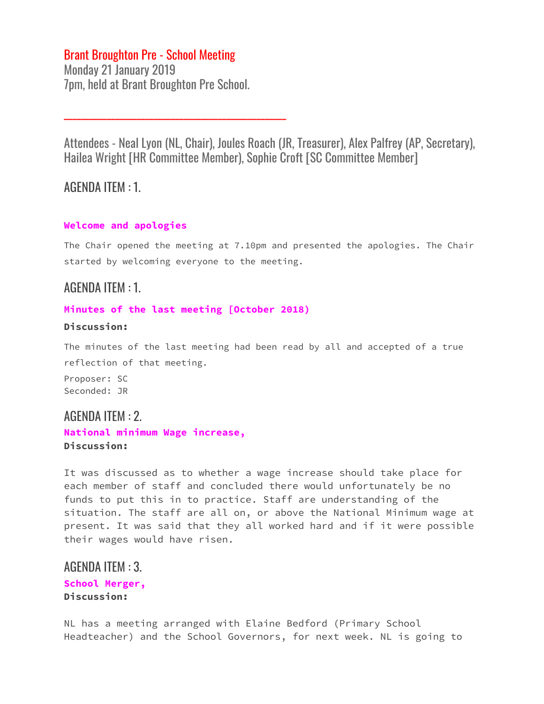## Brant Broughton Pre - School Meeting

Monday 21 January 2019 7pm, held at Brant Broughton Pre School.

\_\_\_\_\_\_\_\_\_\_\_\_\_\_\_\_\_\_\_\_\_\_\_\_\_\_\_\_\_\_\_\_\_\_\_\_\_\_\_\_\_\_\_\_\_\_\_\_\_\_\_\_

Attendees - Neal Lyon (NL, Chair), Joules Roach (JR, Treasurer), Alex Palfrey (AP, Secretary), Hailea Wright [HR Committee Member), Sophie Croft [SC Committee Member]

### AGENDA ITEM : 1.

#### **Welcome and apologies**

The Chair opened the meeting at 7.10pm and presented the apologies. The Chair started by welcoming everyone to the meeting.

### AGENDA ITEM : 1.

#### **Minutes of the last meeting [October 2018)**

#### **Discussion:**

The minutes of the last meeting had been read by all and accepted of a true reflection of that meeting.

Proposer: SC Seconded: JR

### AGENDA ITEM : 2.

**National minimum Wage increase, Discussion:**

It was discussed as to whether a wage increase should take place for each member of staff and concluded there would unfortunately be no funds to put this in to practice. Staff are understanding of the situation. The staff are all on, or above the National Minimum wage at present. It was said that they all worked hard and if it were possible their wages would have risen.

## AGENDA ITEM : 3. **School Merger,**

**Discussion:**

NL has a meeting arranged with Elaine Bedford (Primary School Headteacher) and the School Governors, for next week. NL is going to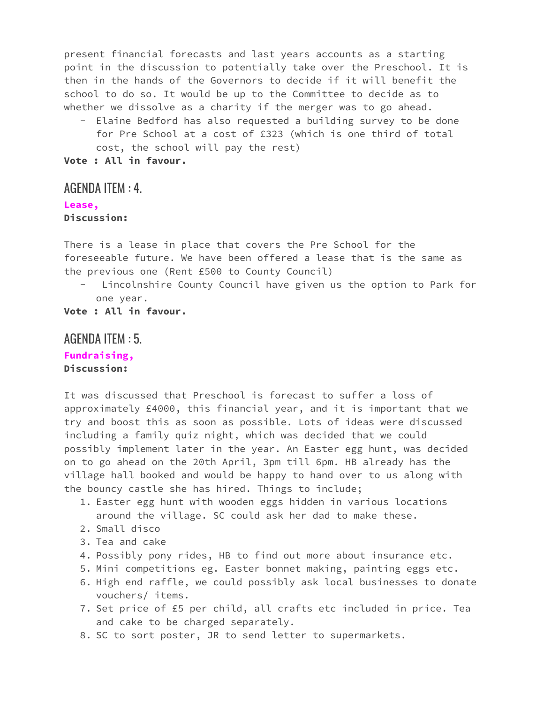present financial forecasts and last years accounts as a starting point in the discussion to potentially take over the Preschool. It is then in the hands of the Governors to decide if it will benefit the school to do so. It would be up to the Committee to decide as to whether we dissolve as a charity if the merger was to go ahead.

- Elaine Bedford has also requested a building survey to be done for Pre School at a cost of £323 (which is one third of total cost, the school will pay the rest)

**Vote : All in favour.**

### AGENDA ITEM : 4.

#### **Lease,**

**Discussion:**

There is a lease in place that covers the Pre School for the foreseeable future. We have been offered a lease that is the same as the previous one (Rent £500 to County Council)

Lincolnshire County Council have given us the option to Park for one year.

**Vote : All in favour.**

#### AGENDA ITEM : 5.

#### **Fundraising, Discussion:**

It was discussed that Preschool is forecast to suffer a loss of approximately £4000, this financial year, and it is important that we try and boost this as soon as possible. Lots of ideas were discussed including a family quiz night, which was decided that we could possibly implement later in the year. An Easter egg hunt, was decided on to go ahead on the 20th April, 3pm till 6pm. HB already has the village hall booked and would be happy to hand over to us along with the bouncy castle she has hired. Things to include;

- 1. Easter egg hunt with wooden eggs hidden in various locations around the village. SC could ask her dad to make these.
- 2. Small disco
- 3. Tea and cake
- 4. Possibly pony rides, HB to find out more about insurance etc.
- 5. Mini competitions eg. Easter bonnet making, painting eggs etc.
- 6. High end raffle, we could possibly ask local businesses to donate vouchers/ items.
- 7. Set price of £5 per child, all crafts etc included in price. Tea and cake to be charged separately.
- 8. SC to sort poster, JR to send letter to supermarkets.